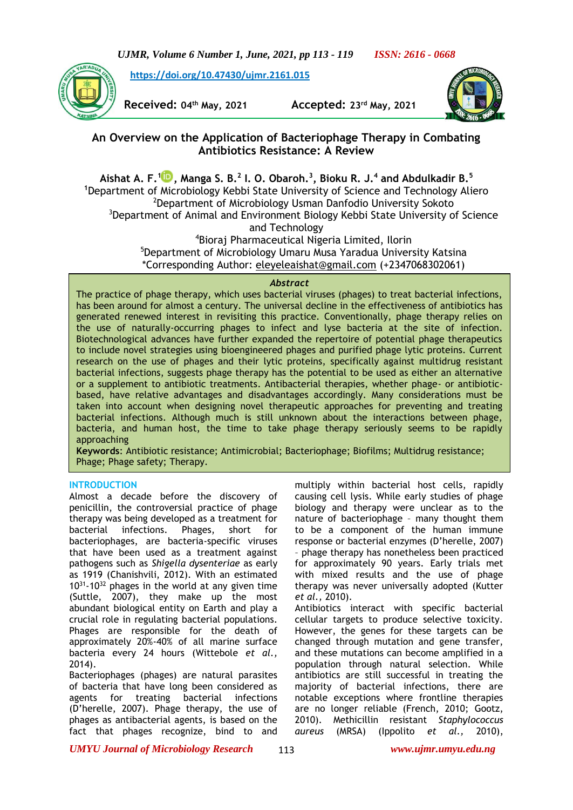*UJMR, Volume 6 Number 1, June, 2021, pp 113 - 119 ISSN: 2616 - 0668*

**[https://doi.org/10.47430/ujmr.2161.015](https://doi.org/10.47430/ujmr.2052.001)**



**Received: 04th May, 2021 Accepted: 23rd May, 2021**



# **An Overview on the Application of Bacteriophage Therapy in Combating Antibiotics Resistance: A Review**

**Aishat A. F.<sup>1</sup> [,](https://orcid.org/0000-0001-6615-3892) Manga S. B.<sup>2</sup> I. O. Obaroh.<sup>3</sup> , Bioku R. J.<sup>4</sup> and Abdulkadir B.<sup>5</sup> <sup>1</sup>**Department of Microbiology Kebbi State University of Science and Technology Aliero <sup>2</sup>Department of Microbiology Usman Danfodio University Sokoto <sup>3</sup>Department of Animal and Environment Biology Kebbi State University of Science and Technology <sup>4</sup>Bioraj Pharmaceutical Nigeria Limited, Ilorin

<sup>5</sup>Department of Microbiology Umaru Musa Yaradua University Katsina \*Corresponding Author: [eleyeleaishat@gmail.com](mailto:eleyeleaishat@gmail.com) (+2347068302061)

## *Abstract*

The practice of phage therapy, which uses bacterial viruses (phages) to treat bacterial infections, has been around for almost a century. The universal decline in the effectiveness of antibiotics has generated renewed interest in revisiting this practice. Conventionally, phage therapy relies on the use of naturally-occurring phages to infect and lyse bacteria at the site of infection. Biotechnological advances have further expanded the repertoire of potential phage therapeutics to include novel strategies using bioengineered phages and purified phage lytic proteins. Current research on the use of phages and their lytic proteins, specifically against multidrug resistant bacterial infections, suggests phage therapy has the potential to be used as either an alternative or a supplement to antibiotic treatments. Antibacterial therapies, whether phage- or antibioticbased, have relative advantages and disadvantages accordingly. Many considerations must be taken into account when designing novel therapeutic approaches for preventing and treating bacterial infections. Although much is still unknown about the interactions between phage, bacteria, and human host, the time to take phage therapy seriously seems to be rapidly approaching

**Keywords**: Antibiotic resistance; Antimicrobial; Bacteriophage; Biofilms; Multidrug resistance; Phage; Phage safety; Therapy.

## **INTRODUCTION**

Almost a decade before the discovery of penicillin, the controversial practice of phage therapy was being developed as a treatment for bacterial infections. Phages, short for bacteriophages, are bacteria-specific viruses that have been used as a treatment against pathogens such as *Shigella dysenteriae* as early as 1919 (Chanishvili, 2012). With an estimated  $10^{31}$ -10<sup>32</sup> phages in the world at any given time (Suttle, 2007), they make up the most abundant biological entity on Earth and play a crucial role in regulating bacterial populations. Phages are responsible for the death of approximately 20%-40% of all marine surface bacteria every 24 hours (Wittebole *et al.,* 2014).

Bacteriophages (phages) are natural parasites of bacteria that have long been considered as agents for treating bacterial infections (D'herelle, 2007). Phage therapy, the use of phages as antibacterial agents, is based on the fact that phages recognize, bind to and

multiply within bacterial host cells, rapidly causing cell lysis. While early studies of phage biology and therapy were unclear as to the nature of bacteriophage – many thought them to be a component of the human immune response or bacterial enzymes (D'herelle, 2007) – phage therapy has nonetheless been practiced for approximately 90 years. Early trials met with mixed results and the use of phage therapy was never universally adopted (Kutter *et al.,* 2010).

Antibiotics interact with specific bacterial cellular targets to produce selective toxicity. However, the genes for these targets can be changed through mutation and gene transfer, and these mutations can become amplified in a population through natural selection. While antibiotics are still successful in treating the majority of bacterial infections, there are notable exceptions where frontline therapies are no longer reliable (French, 2010; Gootz, 2010). Methicillin resistant *Staphylococcus aureus* (MRSA) (Ippolito *et al.,* 2010),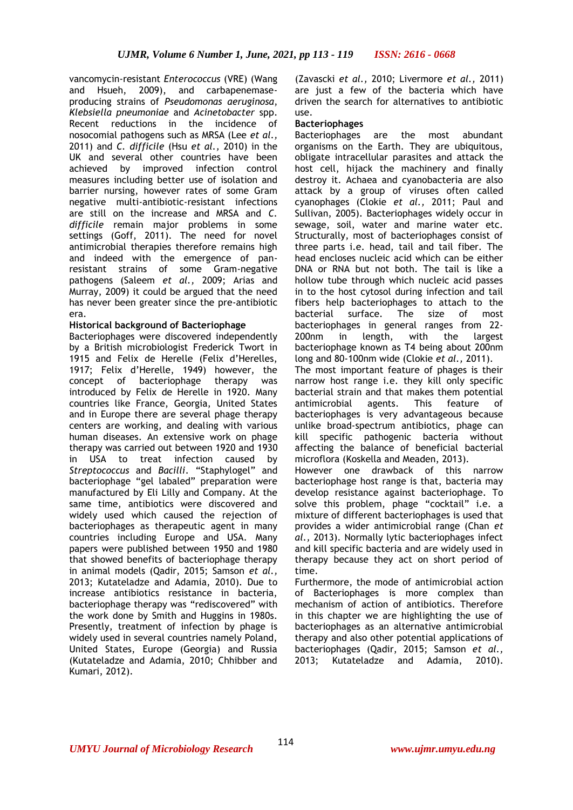vancomycin-resistant *Enterococcus* (VRE) (Wang and Hsueh, 2009), and carbapenemaseproducing strains of *Pseudomonas aeruginosa*, *Klebsiella pneumoniae* and *Acinetobacter* spp. Recent reductions in the incidence of nosocomial pathogens such as MRSA (Lee *et al.,* 2011) and *C. difficile* (Hsu *et al.,* 2010) in the UK and several other countries have been achieved by improved infection control measures including better use of isolation and barrier nursing, however rates of some Gram negative multi-antibiotic-resistant infections are still on the increase and MRSA and *C. difficile* remain major problems in some settings (Goff, 2011). The need for novel antimicrobial therapies therefore remains high and indeed with the emergence of panresistant strains of some Gram-negative pathogens (Saleem *et al.,* 2009; Arias and Murray, 2009) it could be argued that the need has never been greater since the pre-antibiotic era.

## **Historical background of Bacteriophage**

Bacteriophages were discovered independently by a British microbiologist Frederick Twort in 1915 and Felix de Herelle (Felix d'Herelles, 1917; Felix d'Herelle, 1949) however, the concept of bacteriophage therapy was introduced by Felix de Herelle in 1920. Many countries like France, Georgia, United States and in Europe there are several phage therapy centers are working, and dealing with various human diseases. An extensive work on phage therapy was carried out between 1920 and 1930 in USA to treat infection caused by *Streptococcus* and *Bacilli*. "Staphylogel" and bacteriophage "gel labaled" preparation were manufactured by Eli Lilly and Company. At the same time, antibiotics were discovered and widely used which caused the rejection of bacteriophages as therapeutic agent in many countries including Europe and USA. Many papers were published between 1950 and 1980 that showed benefits of bacteriophage therapy in animal models (Qadir, 2015; Samson *et al.,*  2013; Kutateladze and Adamia, 2010). Due to increase antibiotics resistance in bacteria, bacteriophage therapy was "rediscovered" with the work done by Smith and Huggins in 1980s. Presently, treatment of infection by phage is widely used in several countries namely Poland, United States, Europe (Georgia) and Russia (Kutateladze and Adamia, 2010; Chhibber and Kumari, 2012).

(Zavascki *et al.,* 2010; Livermore *et al.,* 2011) are just a few of the bacteria which have driven the search for alternatives to antibiotic use.

## **Bacteriophages**

Bacteriophages are the most abundant organisms on the Earth. They are ubiquitous, obligate intracellular parasites and attack the host cell, hijack the machinery and finally destroy it. Achaea and cyanobacteria are also attack by a group of viruses often called cyanophages (Clokie *et al.,* 2011; Paul and Sullivan, 2005). Bacteriophages widely occur in sewage, soil, water and marine water etc. Structurally, most of bacteriophages consist of three parts i.e. head, tail and tail fiber. The head encloses nucleic acid which can be either DNA or RNA but not both. The tail is like a hollow tube through which nucleic acid passes in to the host cytosol during infection and tail fibers help bacteriophages to attach to the bacterial surface. The size of most bacteriophages in general ranges from 22- 200nm in length, with the largest bacteriophage known as T4 being about 200nm long and 80-100nm wide (Clokie *et al.,* 2011). The most important feature of phages is their narrow host range i.e. they kill only specific bacterial strain and that makes them potential antimicrobial agents. This feature of bacteriophages is very advantageous because unlike broad-spectrum antibiotics, phage can kill specific pathogenic bacteria without affecting the balance of beneficial bacterial microflora (Koskella and Meaden, 2013).

However one drawback of this narrow bacteriophage host range is that, bacteria may develop resistance against bacteriophage. To solve this problem, phage "cocktail" i.e. a mixture of different bacteriophages is used that provides a wider antimicrobial range (Chan *et al.,* 2013). Normally lytic bacteriophages infect and kill specific bacteria and are widely used in therapy because they act on short period of time.

Furthermore, the mode of antimicrobial action of Bacteriophages is more complex than mechanism of action of antibiotics. Therefore in this chapter we are highlighting the use of bacteriophages as an alternative antimicrobial therapy and also other potential applications of bacteriophages (Qadir, 2015; Samson *et al.,*  2013; Kutateladze and Adamia, 2010).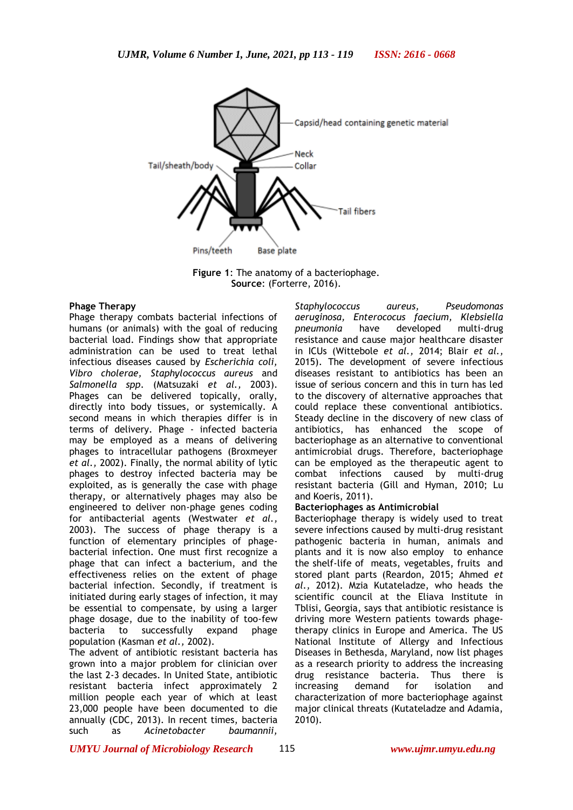

**Figure 1**: The anatomy of a bacteriophage. **Source**: (Forterre, 2016).

#### **Phage Therapy**

Phage therapy combats bacterial infections of humans (or animals) with the goal of reducing bacterial load. Findings show that appropriate administration can be used to treat lethal infectious diseases caused by *Escherichia coli, Vibro cholerae, Staphylococcus aureus* and *Salmonella spp*. (Matsuzaki *et al.,* 2003). Phages can be delivered topically, orally, directly into body tissues, or systemically. A second means in which therapies differ is in terms of delivery. Phage - infected bacteria may be employed as a means of delivering phages to intracellular pathogens (Broxmeyer *et al.,* 2002). Finally, the normal ability of lytic phages to destroy infected bacteria may be exploited, as is generally the case with phage therapy, or alternatively phages may also be engineered to deliver non-phage genes coding for antibacterial agents (Westwater *et al.,* 2003). The success of phage therapy is a function of elementary principles of phagebacterial infection. One must first recognize a phage that can infect a bacterium, and the effectiveness relies on the extent of phage bacterial infection. Secondly, if treatment is initiated during early stages of infection, it may be essential to compensate, by using a larger phage dosage, due to the inability of too-few bacteria to successfully expand phage population (Kasman *et al.,* 2002).

The advent of antibiotic resistant bacteria has grown into a major problem for clinician over the last 2-3 decades. In United State, antibiotic resistant bacteria infect approximately 2 million people each year of which at least 23,000 people have been documented to die annually (CDC, 2013). In recent times, bacteria such as *Acinetobacter baumannii,* 

*Staphylococcus aureus, Pseudomonas aeruginosa, Enterococus faecium, Klebsiella pneumonia* have developed multi-drug resistance and cause major healthcare disaster in ICUs (Wittebole *et al.,* 2014; Blair *et al.,* 2015). The development of severe infectious diseases resistant to antibiotics has been an issue of serious concern and this in turn has led to the discovery of alternative approaches that could replace these conventional antibiotics. Steady decline in the discovery of new class of antibiotics, has enhanced the scope of bacteriophage as an alternative to conventional antimicrobial drugs. Therefore, bacteriophage can be employed as the therapeutic agent to combat infections caused by multi-drug resistant bacteria (Gill and Hyman, 2010; Lu and Koeris, 2011).

#### **Bacteriophages as Antimicrobial**

Bacteriophage therapy is widely used to treat severe infections caused by multi-drug resistant pathogenic bacteria in human, animals and plants and it is now also employ to enhance the shelf-life of meats, vegetables, fruits and stored plant parts (Reardon, 2015; Ahmed *et al.,* 2012). Mzia Kutateladze, who heads the scientific council at the Eliava Institute in Tblisi, Georgia, says that antibiotic resistance is driving more Western patients towards phagetherapy clinics in Europe and America. The US National Institute of Allergy and Infectious Diseases in Bethesda, Maryland, now list phages as a research priority to address the increasing drug resistance bacteria. Thus there is increasing demand for isolation and characterization of more bacteriophage against major clinical threats (Kutateladze and Adamia, 2010).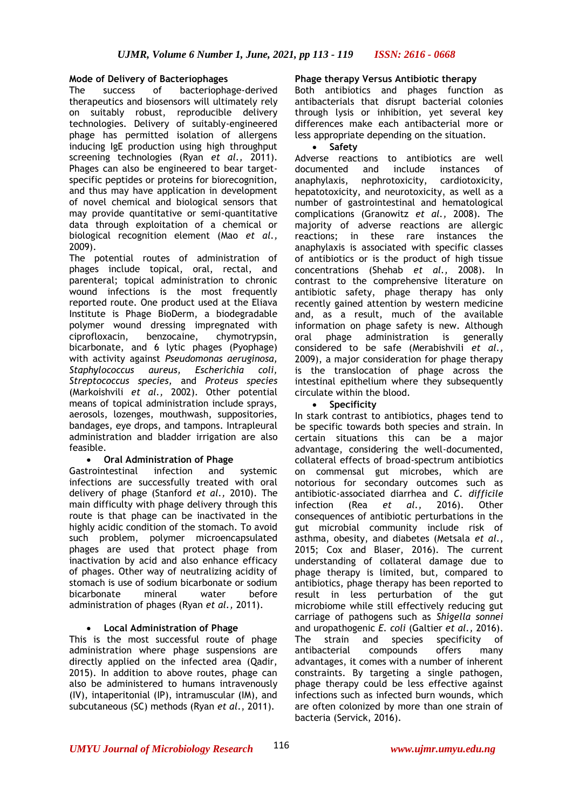## **Mode of Delivery of Bacteriophages**

The success of bacteriophage-derived therapeutics and biosensors will ultimately rely on suitably robust, reproducible delivery technologies. Delivery of suitably-engineered phage has permitted isolation of allergens inducing IgE production using high throughput screening technologies (Ryan *et al.,* 2011). Phages can also be engineered to bear targetspecific peptides or proteins for biorecognition, and thus may have application in development of novel chemical and biological sensors that may provide quantitative or semi-quantitative data through exploitation of a chemical or biological recognition element (Mao *et al.,*  2009).

The potential routes of administration of phages include topical, oral, rectal, and parenteral; topical administration to chronic wound infections is the most frequently reported route. One product used at the Eliava Institute is Phage BioDerm, a biodegradable polymer wound dressing impregnated with ciprofloxacin, benzocaine, chymotrypsin, bicarbonate, and 6 lytic phages (Pyophage) with activity against *Pseudomonas aeruginosa, Staphylococcus aureus, Escherichia coli, Streptococcus species,* and *Proteus species* (Markoishvili *et al.,* 2002). Other potential means of topical administration include sprays, aerosols, lozenges, mouthwash, suppositories, bandages, eye drops, and tampons. Intrapleural administration and bladder irrigation are also feasible.

## • **Oral Administration of Phage**

Gastrointestinal infection and systemic infections are successfully treated with oral delivery of phage (Stanford *et al.,* 2010). The main difficulty with phage delivery through this route is that phage can be inactivated in the highly acidic condition of the stomach. To avoid such problem, polymer microencapsulated phages are used that protect phage from inactivation by acid and also enhance efficacy of phages. Other way of neutralizing acidity of stomach is use of sodium bicarbonate or sodium bicarbonate mineral water before administration of phages (Ryan *et al.,* 2011).

## • **Local Administration of Phage**

This is the most successful route of phage administration where phage suspensions are directly applied on the infected area (Qadir, 2015). In addition to above routes, phage can also be administered to humans intravenously (IV), intaperitonial (IP), intramuscular (IM), and subcutaneous (SC) methods (Ryan *et al*., 2011).

## **Phage therapy Versus Antibiotic therapy**

Both antibiotics and phages function as antibacterials that disrupt bacterial colonies through lysis or inhibition, yet several key differences make each antibacterial more or less appropriate depending on the situation.

• **Safety** 

Adverse reactions to antibiotics are well documented and include instances of anaphylaxis, nephrotoxicity, cardiotoxicity, hepatotoxicity, and neurotoxicity, as well as a number of gastrointestinal and hematological complications (Granowitz *et al.,* 2008). The majority of adverse reactions are allergic reactions; in these rare instances the anaphylaxis is associated with specific classes of antibiotics or is the product of high tissue concentrations (Shehab *et al.,* 2008). In contrast to the comprehensive literature on antibiotic safety, phage therapy has only recently gained attention by western medicine and, as a result, much of the available information on phage safety is new. Although oral phage administration is generally considered to be safe (Merabishvili *et al.,* 2009), a major consideration for phage therapy is the translocation of phage across the intestinal epithelium where they subsequently circulate within the blood.

### • **Specificity**

In stark contrast to antibiotics, phages tend to be specific towards both species and strain. In certain situations this can be a major advantage, considering the well-documented, collateral effects of broad-spectrum antibiotics on commensal gut microbes, which are notorious for secondary outcomes such as antibiotic-associated diarrhea and *C. difficile* infection (Rea *et al.,* 2016). Other consequences of antibiotic perturbations in the gut microbial community include risk of asthma, obesity, and diabetes (Metsala *et al.,* 2015; Cox and Blaser, 2016). The current understanding of collateral damage due to phage therapy is limited, but, compared to antibiotics, phage therapy has been reported to result in less perturbation of the gut microbiome while still effectively reducing gut carriage of pathogens such as *Shigella sonnei* and uropathogenic *E. coli* (Galtier *et al.,* 2016). The strain and species specificity of antibacterial compounds offers many advantages, it comes with a number of inherent constraints. By targeting a single pathogen, phage therapy could be less effective against infections such as infected burn wounds, which are often colonized by more than one strain of bacteria (Servick, 2016).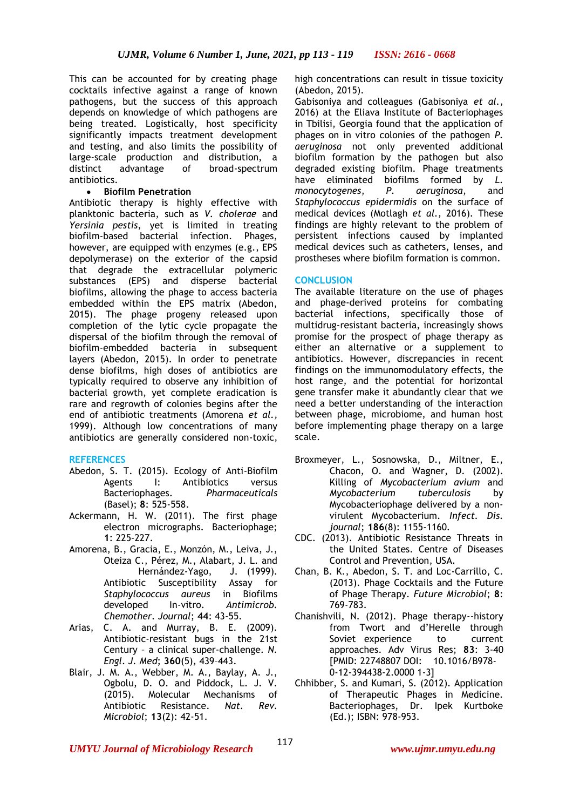This can be accounted for by creating phage cocktails infective against a range of known pathogens, but the success of this approach depends on knowledge of which pathogens are being treated. Logistically, host specificity significantly impacts treatment development and testing, and also limits the possibility of large-scale production and distribution, a distinct advantage of broad-spectrum antibiotics.

## • **Biofilm Penetration**

Antibiotic therapy is highly effective with planktonic bacteria, such as *V. cholerae* and *Yersinia pestis*, yet is limited in treating biofilm-based bacterial infection. Phages, however, are equipped with enzymes (e.g., EPS depolymerase) on the exterior of the capsid that degrade the extracellular polymeric substances (EPS) and disperse bacterial biofilms, allowing the phage to access bacteria embedded within the EPS matrix (Abedon, 2015). The phage progeny released upon completion of the lytic cycle propagate the dispersal of the biofilm through the removal of biofilm-embedded bacteria in subsequent layers (Abedon, 2015). In order to penetrate dense biofilms, high doses of antibiotics are typically required to observe any inhibition of bacterial growth, yet complete eradication is rare and regrowth of colonies begins after the end of antibiotic treatments (Amorena *et al.,* 1999). Although low concentrations of many antibiotics are generally considered non-toxic,

## **REFERENCES**

- Abedon, S. T. (2015). Ecology of Anti-Biofilm Agents I: Antibiotics versus Bacteriophages. *Pharmaceuticals* (Basel); **8**: 525-558.
- Ackermann, H. W. (2011). The first phage electron micrographs. Bacteriophage; **1**: 225-227.
- Amorena, B., Gracia, E., Monzón, M., Leiva, J., Oteiza C., Pérez, M., Alabart, J. L. and Hernández-Yago, J. (1999). Antibiotic Susceptibility Assay for *Staphylococcus aureus* in Biofilms developed In-vitro. *Antimicrob. Chemother. Journal*; **44**: 43-55.
- Arias, C. A. and Murray, B. E. (2009). Antibiotic-resistant bugs in the 21st Century – a clinical super-challenge. *N. Engl. J. Med*; **360**(5), 439–443.
- Blair, J. M. A., Webber, M. A., Baylay, A. J., Ogbolu, D. O. and Piddock, L. J. V. (2015). Molecular Mechanisms of Antibiotic Resistance. *Nat. Rev. Microbiol*; **13**(2): 42-51.

high concentrations can result in tissue toxicity (Abedon, 2015).

Gabisoniya and colleagues (Gabisoniya *et al.,* 2016) at the Eliava Institute of Bacteriophages in Tbilisi, Georgia found that the application of phages on in vitro colonies of the pathogen *P. aeruginosa* not only prevented additional biofilm formation by the pathogen but also degraded existing biofilm. Phage treatments have eliminated biofilms formed by *L. monocytogenes*, *P. aeruginosa*, and *Staphylococcus epidermidis* on the surface of medical devices (Motlagh *et al.,* 2016). These findings are highly relevant to the problem of persistent infections caused by implanted medical devices such as catheters, lenses, and prostheses where biofilm formation is common.

## **CONCLUSION**

The available literature on the use of phages and phage-derived proteins for combating bacterial infections, specifically those of multidrug-resistant bacteria, increasingly shows promise for the prospect of phage therapy as either an alternative or a supplement to antibiotics. However, discrepancies in recent findings on the immunomodulatory effects, the host range, and the potential for horizontal gene transfer make it abundantly clear that we need a better understanding of the interaction between phage, microbiome, and human host before implementing phage therapy on a large scale.

- Broxmeyer, L., Sosnowska, D., Miltner, E., Chacon, O. and Wagner, D. (2002). Killing of *Mycobacterium avium* and *Mycobacterium tuberculosis* by Mycobacteriophage delivered by a nonvirulent Mycobacterium. *Infect. Dis. journal*; **186**(8): 1155-1160.
- CDC. (2013). Antibiotic Resistance Threats in the United States. Centre of Diseases Control and Prevention, USA.
- Chan, B. K., Abedon, S. T. and Loc-Carrillo, C. (2013). Phage Cocktails and the Future of Phage Therapy. *Future Microbiol*; **8**: 769-783.
- Chanishvili, N. (2012). Phage therapy--history from Twort and d'Herelle through Soviet experience to current approaches. Adv Virus Res; **83**: 3-40 [PMID: 22748807 DOI: 10.1016/B978- 0-12-394438-2.0000 1-3]
- Chhibber, S. and Kumari, S. (2012). Application of Therapeutic Phages in Medicine. Bacteriophages, Dr. Ipek Kurtboke (Ed.); ISBN: 978-953.

*UMYU Journal of Microbiology Research www.ujmr.umyu.edu.ng*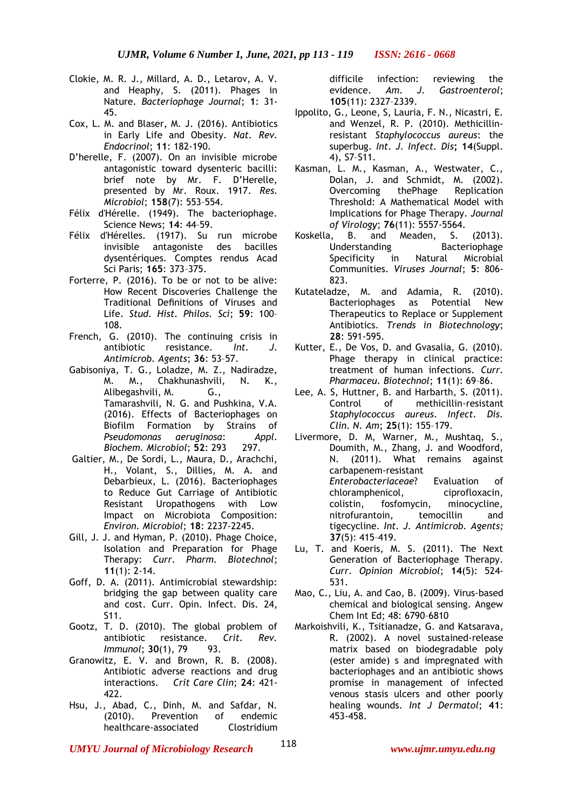- Clokie, M. R. J., Millard, A. D., Letarov, A. V. and Heaphy, S. (2011). Phages in Nature. *Bacteriophage Journal*; **1**: 31- 45.
- Cox, L. M. and Blaser, M. J. (2016). Antibiotics in Early Life and Obesity. *Nat. Rev. Endocrinol*; **11**: 182-190.
- D'herelle, F. (2007). On an invisible microbe antagonistic toward dysenteric bacilli: brief note by Mr. F. D'Herelle, presented by Mr. Roux. 1917. *Res. Microbiol*; **158**(7): 553–554.
- Félix d'Hérelle. (1949). The bacteriophage. Science News; **14**: 44–59.
- Félix d'Hérelles. (1917). Su run microbe invisible antagoniste des bacilles dysentériques. Comptes rendus Acad Sci Paris; **165**: 373–375.
- Forterre, P. (2016). To be or not to be alive: How Recent Discoveries Challenge the Traditional Definitions of Viruses and Life. *Stud. Hist. Philos. Sci*; **59**: 100– 108.
- French, G. (2010). The continuing crisis in antibiotic resistance. *Int. J. Antimicrob. Agents*; **36**: 53–57.
- Gabisoniya, T. G., Loladze, M. Z., Nadiradze, M. M., Chakhunashvili, N. K., Alibegashvili, M. G., Tamarashvili, N. G. and Pushkina, V.A. (2016). Effects of Bacteriophages on Biofilm Formation by Strains of *Pseudomonas aeruginosa*: *Appl. Biochem. Microbiol*; **52**: 293 297.
- Galtier, M., De Sordi, L., Maura, D., Arachchi, H., Volant, S., Dillies, M. A. and Debarbieux, L. (2016). Bacteriophages to Reduce Gut Carriage of Antibiotic Resistant Uropathogens with Low Impact on Microbiota Composition: *Environ. Microbiol*; **18**: 2237-2245.
- Gill, J. J. and Hyman, P. (2010). Phage Choice, Isolation and Preparation for Phage Therapy: *Curr. Pharm. Biotechnol*; **11**(1): 2-14.
- Goff, D. A. (2011). Antimicrobial stewardship: bridging the gap between quality care and cost. Curr. Opin. Infect. Dis. 24, S11.
- Gootz, T. D. (2010). The global problem of antibiotic resistance. *Crit. Rev. Immunol*; **30**(1), **79** 93.
- Granowitz, E. V. and Brown, R. B. (2008). Antibiotic adverse reactions and drug interactions. *Crit Care Clin*; **24**: 421- 422.
- Hsu, J., Abad, C., Dinh, M. and Safdar, N. (2010). Prevention of endemic healthcare-associated Clostridium

difficile infection: reviewing the evidence. *Am. J. Gastroenterol*; **105**(11): 2327–2339.

- Ippolito, G., Leone, S, Lauria, F. N., Nicastri, E. and Wenzel, R. P. (2010). Methicillinresistant *Staphylococcus aureus*: the superbug. *Int. J. Infect. Dis***; 14**(Suppl. 4), S7–S11.
- Kasman, L. M., Kasman, A., Westwater, C., Dolan, J. and Schmidt, M. (2002). Overcoming thePhage Replication Threshold: A Mathematical Model with Implications for Phage Therapy. *Journal of Virology*; **76**(11): 5557-5564.
- Koskella, B. and Meaden, S. (2013). Understanding Bacteriophage Specificity in Natural Microbial Communities. *Viruses Journal*; **5**: 806- 823.
- Kutateladze, M. and Adamia, R. (2010). Bacteriophages as Potential New Therapeutics to Replace or Supplement Antibiotics. *Trends in Biotechnology*; **28**: 591-595.
- Kutter, E., De Vos, D. and Gvasalia, G. (2010). Phage therapy in clinical practice: treatment of human infections. *Curr. Pharmaceu. Biotechnol*; **11**(1): 69–86.
- Lee, A. S, Huttner, B. and Harbarth, S. (2011). Control of methicillin-resistant *Staphylococcus aureus*. *Infect. Dis. Clin. N. Am*; **25**(1): 155–179.
- Livermore, D. M, Warner, M., Mushtaq, S., Doumith, M., Zhang, J. and Woodford, N. (2011). What remains against carbapenem-resistant *Enterobacteriaceae*? Evaluation of chloramphenicol, ciprofloxacin, colistin, fosfomycin, minocycline, nitrofurantoin, temocillin and tigecycline. *Int. J. Antimicrob. Agents;* **37**(5): 415–419.
- Lu, T. and Koeris, M. S. (2011). The Next Generation of Bacteriophage Therapy. *Curr. Opinion Microbiol*; **14**(5): 524- 531.
- Mao, C., Liu, A. and Cao, B. (2009). Virus-based chemical and biological sensing. Angew Chem Int Ed; 48: 6790–6810
- Markoishvili, K., Tsitianadze, G. and Katsarava, R. (2002). A novel sustained-release matrix based on biodegradable poly (ester amide) s and impregnated with bacteriophages and an antibiotic shows promise in management of infected venous stasis ulcers and other poorly healing wounds. *Int J Dermatol*; **41**: 453-458.
- *UMYU Journal of Microbiology Research www.ujmr.umyu.edu.ng*